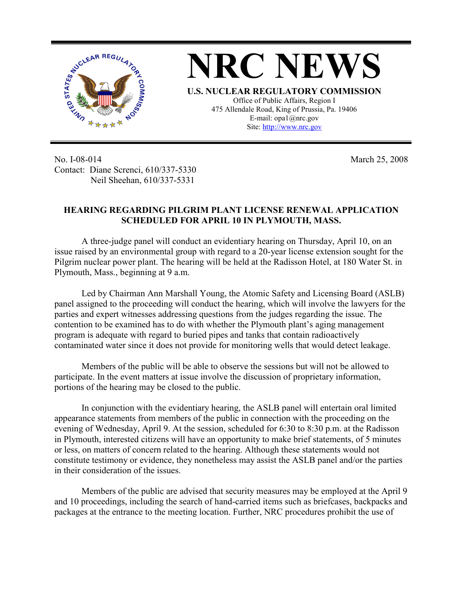

**NRC NEWS U.S. NUCLEAR REGULATORY COMMISSION** Office of Public Affairs, Region I 475 Allendale Road, King of Prussia, Pa. 19406 E-mail: opa1@nrc.gov Site: http://www.nrc.gov

No. I-08-014 Contact: Diane Screnci, 610/337-5330 Neil Sheehan, 610/337-5331

March 25, 2008

## **HEARING REGARDING PILGRIM PLANT LICENSE RENEWAL APPLICATION SCHEDULED FOR APRIL 10 IN PLYMOUTH, MASS.**

A three-judge panel will conduct an evidentiary hearing on Thursday, April 10, on an issue raised by an environmental group with regard to a 20-year license extension sought for the Pilgrim nuclear power plant. The hearing will be held at the Radisson Hotel, at 180 Water St. in Plymouth, Mass., beginning at 9 a.m.

Led by Chairman Ann Marshall Young, the Atomic Safety and Licensing Board (ASLB) panel assigned to the proceeding will conduct the hearing, which will involve the lawyers for the parties and expert witnesses addressing questions from the judges regarding the issue. The contention to be examined has to do with whether the Plymouth plant's aging management program is adequate with regard to buried pipes and tanks that contain radioactively contaminated water since it does not provide for monitoring wells that would detect leakage.

Members of the public will be able to observe the sessions but will not be allowed to participate. In the event matters at issue involve the discussion of proprietary information, portions of the hearing may be closed to the public.

In conjunction with the evidentiary hearing, the ASLB panel will entertain oral limited appearance statements from members of the public in connection with the proceeding on the evening of Wednesday, April 9. At the session, scheduled for 6:30 to 8:30 p.m. at the Radisson in Plymouth, interested citizens will have an opportunity to make brief statements, of 5 minutes or less, on matters of concern related to the hearing. Although these statements would not constitute testimony or evidence, they nonetheless may assist the ASLB panel and/or the parties in their consideration of the issues.

Members of the public are advised that security measures may be employed at the April 9 and 10 proceedings, including the search of hand-carried items such as briefcases, backpacks and packages at the entrance to the meeting location. Further, NRC procedures prohibit the use of